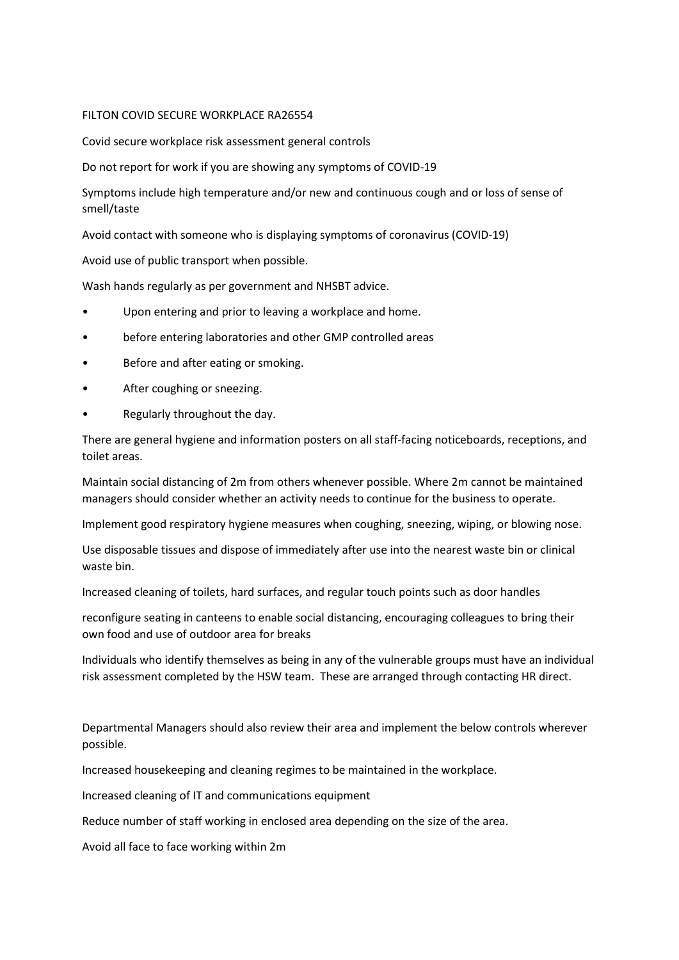### FILTON COVID SECURE WORKPLACE RA26554

Covid secure workplace risk assessment general controls

Do not report for work if you are showing any symptoms of COVID-19

Symptoms include high temperature and/or new and continuous cough and or loss of sense of smell/taste

Avoid contact with someone who is displaying symptoms of coronavirus (COVID-19)

Avoid use of public transport when possible.

Wash hands regularly as per government and NHSBT advice.

- Upon entering and prior to leaving a workplace and home.
- before entering laboratories and other GMP controlled areas
- Before and after eating or smoking.
- After coughing or sneezing.
- Regularly throughout the day.

There are general hygiene and information posters on all staff-facing noticeboards, receptions, and toilet areas.

Maintain social distancing of 2m from others whenever possible. Where 2m cannot be maintained managers should consider whether an activity needs to continue for the business to operate.

Implement good respiratory hygiene measures when coughing, sneezing, wiping, or blowing nose.

Use disposable tissues and dispose of immediately after use into the nearest waste bin or clinical waste bin.

Increased cleaning of toilets, hard surfaces, and regular touch points such as door handles

reconfigure seating in canteens to enable social distancing, encouraging colleagues to bring their own food and use of outdoor area for breaks

Individuals who identify themselves as being in any of the vulnerable groups must have an individual risk assessment completed by the HSW team. These are arranged through contacting HR direct.

Departmental Managers should also review their area and implement the below controls wherever possible.

Increased housekeeping and cleaning regimes to be maintained in the workplace.

Increased cleaning of IT and communications equipment

Reduce number of staff working in enclosed area depending on the size of the area.

Avoid all face to face working within 2m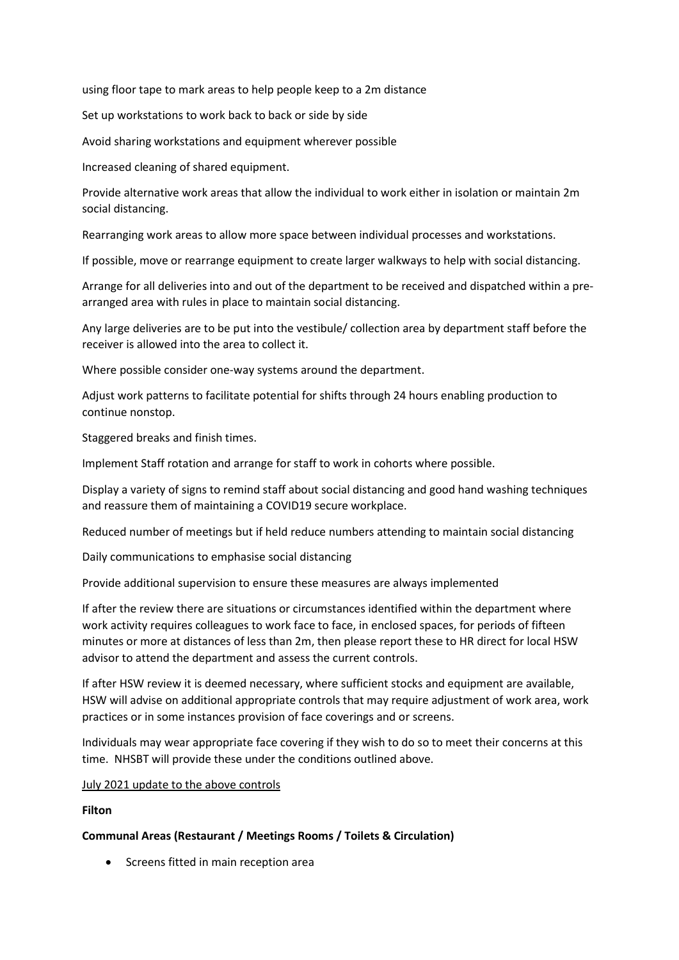using floor tape to mark areas to help people keep to a 2m distance

Set up workstations to work back to back or side by side

Avoid sharing workstations and equipment wherever possible

Increased cleaning of shared equipment.

Provide alternative work areas that allow the individual to work either in isolation or maintain 2m social distancing.

Rearranging work areas to allow more space between individual processes and workstations.

If possible, move or rearrange equipment to create larger walkways to help with social distancing.

Arrange for all deliveries into and out of the department to be received and dispatched within a prearranged area with rules in place to maintain social distancing.

Any large deliveries are to be put into the vestibule/ collection area by department staff before the receiver is allowed into the area to collect it.

Where possible consider one-way systems around the department.

Adjust work patterns to facilitate potential for shifts through 24 hours enabling production to continue nonstop.

Staggered breaks and finish times.

Implement Staff rotation and arrange for staff to work in cohorts where possible.

Display a variety of signs to remind staff about social distancing and good hand washing techniques and reassure them of maintaining a COVID19 secure workplace.

Reduced number of meetings but if held reduce numbers attending to maintain social distancing

Daily communications to emphasise social distancing

Provide additional supervision to ensure these measures are always implemented

If after the review there are situations or circumstances identified within the department where work activity requires colleagues to work face to face, in enclosed spaces, for periods of fifteen minutes or more at distances of less than 2m, then please report these to HR direct for local HSW advisor to attend the department and assess the current controls.

If after HSW review it is deemed necessary, where sufficient stocks and equipment are available, HSW will advise on additional appropriate controls that may require adjustment of work area, work practices or in some instances provision of face coverings and or screens.

Individuals may wear appropriate face covering if they wish to do so to meet their concerns at this time. NHSBT will provide these under the conditions outlined above.

#### July 2021 update to the above controls

### Filton

### Communal Areas (Restaurant / Meetings Rooms / Toilets & Circulation)

• Screens fitted in main reception area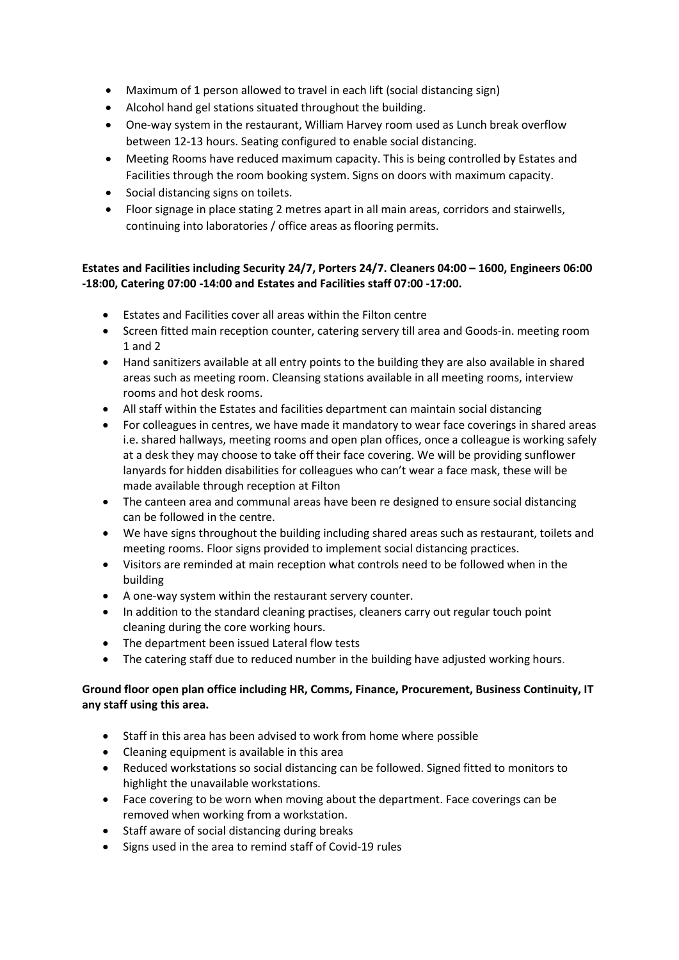- Maximum of 1 person allowed to travel in each lift (social distancing sign)
- Alcohol hand gel stations situated throughout the building.
- One-way system in the restaurant, William Harvey room used as Lunch break overflow between 12-13 hours. Seating configured to enable social distancing.
- Meeting Rooms have reduced maximum capacity. This is being controlled by Estates and Facilities through the room booking system. Signs on doors with maximum capacity.
- Social distancing signs on toilets.
- Floor signage in place stating 2 metres apart in all main areas, corridors and stairwells, continuing into laboratories / office areas as flooring permits.

## Estates and Facilities including Security 24/7, Porters 24/7. Cleaners 04:00 – 1600, Engineers 06:00 -18:00, Catering 07:00 -14:00 and Estates and Facilities staff 07:00 -17:00.

- Estates and Facilities cover all areas within the Filton centre
- Screen fitted main reception counter, catering servery till area and Goods-in. meeting room 1 and 2
- Hand sanitizers available at all entry points to the building they are also available in shared areas such as meeting room. Cleansing stations available in all meeting rooms, interview rooms and hot desk rooms.
- All staff within the Estates and facilities department can maintain social distancing
- For colleagues in centres, we have made it mandatory to wear face coverings in shared areas i.e. shared hallways, meeting rooms and open plan offices, once a colleague is working safely at a desk they may choose to take off their face covering. We will be providing sunflower lanyards for hidden disabilities for colleagues who can't wear a face mask, these will be made available through reception at Filton
- The canteen area and communal areas have been re designed to ensure social distancing can be followed in the centre.
- We have signs throughout the building including shared areas such as restaurant, toilets and meeting rooms. Floor signs provided to implement social distancing practices.
- Visitors are reminded at main reception what controls need to be followed when in the building
- A one-way system within the restaurant servery counter.
- In addition to the standard cleaning practises, cleaners carry out regular touch point cleaning during the core working hours.
- The department been issued Lateral flow tests
- The catering staff due to reduced number in the building have adjusted working hours.

## Ground floor open plan office including HR, Comms, Finance, Procurement, Business Continuity, IT any staff using this area.

- Staff in this area has been advised to work from home where possible
- Cleaning equipment is available in this area
- Reduced workstations so social distancing can be followed. Signed fitted to monitors to highlight the unavailable workstations.
- Face covering to be worn when moving about the department. Face coverings can be removed when working from a workstation.
- Staff aware of social distancing during breaks
- Signs used in the area to remind staff of Covid-19 rules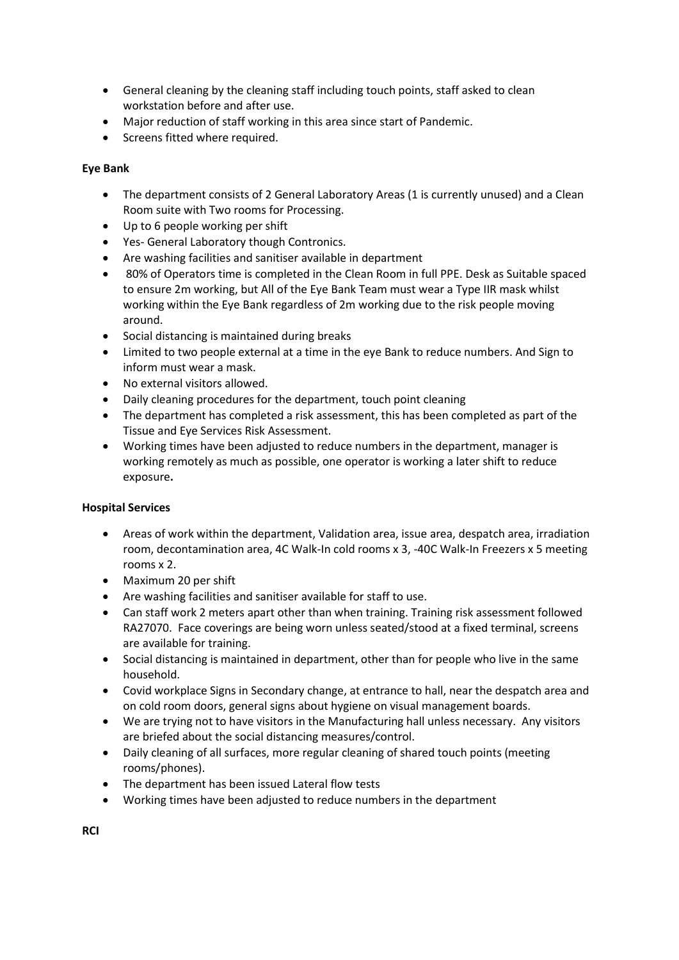- General cleaning by the cleaning staff including touch points, staff asked to clean workstation before and after use.
- Major reduction of staff working in this area since start of Pandemic.
- Screens fitted where required.

## Eye Bank

- The department consists of 2 General Laboratory Areas (1 is currently unused) and a Clean Room suite with Two rooms for Processing.
- Up to 6 people working per shift
- Yes- General Laboratory though Contronics.
- Are washing facilities and sanitiser available in department
- 80% of Operators time is completed in the Clean Room in full PPE. Desk as Suitable spaced to ensure 2m working, but All of the Eye Bank Team must wear a Type IIR mask whilst working within the Eye Bank regardless of 2m working due to the risk people moving around.
- Social distancing is maintained during breaks
- Limited to two people external at a time in the eye Bank to reduce numbers. And Sign to inform must wear a mask.
- No external visitors allowed.
- Daily cleaning procedures for the department, touch point cleaning
- The department has completed a risk assessment, this has been completed as part of the Tissue and Eye Services Risk Assessment.
- Working times have been adjusted to reduce numbers in the department, manager is working remotely as much as possible, one operator is working a later shift to reduce exposure.

## Hospital Services

- Areas of work within the department, Validation area, issue area, despatch area, irradiation room, decontamination area, 4C Walk-In cold rooms x 3, -40C Walk-In Freezers x 5 meeting rooms x 2.
- Maximum 20 per shift
- Are washing facilities and sanitiser available for staff to use.
- Can staff work 2 meters apart other than when training. Training risk assessment followed RA27070. Face coverings are being worn unless seated/stood at a fixed terminal, screens are available for training.
- Social distancing is maintained in department, other than for people who live in the same household.
- Covid workplace Signs in Secondary change, at entrance to hall, near the despatch area and on cold room doors, general signs about hygiene on visual management boards.
- We are trying not to have visitors in the Manufacturing hall unless necessary. Any visitors are briefed about the social distancing measures/control.
- Daily cleaning of all surfaces, more regular cleaning of shared touch points (meeting rooms/phones).
- The department has been issued Lateral flow tests
- Working times have been adjusted to reduce numbers in the department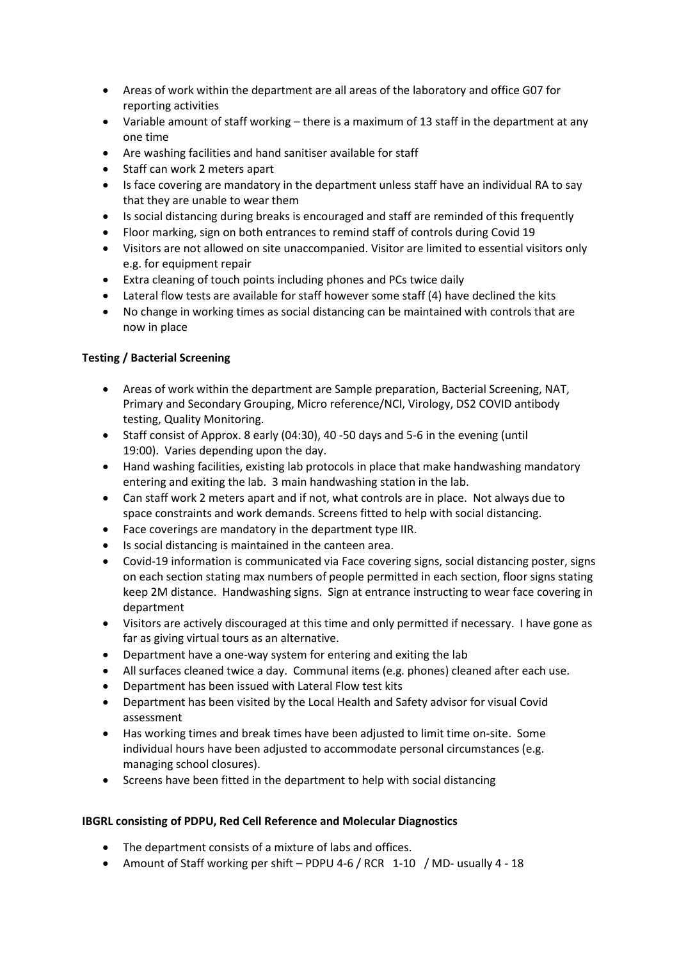- Areas of work within the department are all areas of the laboratory and office G07 for reporting activities
- Variable amount of staff working there is a maximum of 13 staff in the department at any one time
- Are washing facilities and hand sanitiser available for staff
- Staff can work 2 meters apart
- Is face covering are mandatory in the department unless staff have an individual RA to say that they are unable to wear them
- Is social distancing during breaks is encouraged and staff are reminded of this frequently
- Floor marking, sign on both entrances to remind staff of controls during Covid 19
- Visitors are not allowed on site unaccompanied. Visitor are limited to essential visitors only e.g. for equipment repair
- Extra cleaning of touch points including phones and PCs twice daily
- Lateral flow tests are available for staff however some staff (4) have declined the kits
- No change in working times as social distancing can be maintained with controls that are now in place

# Testing / Bacterial Screening

- Areas of work within the department are Sample preparation, Bacterial Screening, NAT, Primary and Secondary Grouping, Micro reference/NCI, Virology, DS2 COVID antibody testing, Quality Monitoring.
- Staff consist of Approx. 8 early (04:30), 40 -50 days and 5-6 in the evening (until 19:00). Varies depending upon the day.
- Hand washing facilities, existing lab protocols in place that make handwashing mandatory entering and exiting the lab. 3 main handwashing station in the lab.
- Can staff work 2 meters apart and if not, what controls are in place. Not always due to space constraints and work demands. Screens fitted to help with social distancing.
- Face coverings are mandatory in the department type IIR.
- Is social distancing is maintained in the canteen area.
- Covid-19 information is communicated via Face covering signs, social distancing poster, signs on each section stating max numbers of people permitted in each section, floor signs stating keep 2M distance. Handwashing signs. Sign at entrance instructing to wear face covering in department
- Visitors are actively discouraged at this time and only permitted if necessary. I have gone as far as giving virtual tours as an alternative.
- Department have a one-way system for entering and exiting the lab
- All surfaces cleaned twice a day. Communal items (e.g. phones) cleaned after each use.
- Department has been issued with Lateral Flow test kits
- Department has been visited by the Local Health and Safety advisor for visual Covid assessment
- Has working times and break times have been adjusted to limit time on-site. Some individual hours have been adjusted to accommodate personal circumstances (e.g. managing school closures).
- Screens have been fitted in the department to help with social distancing

## IBGRL consisting of PDPU, Red Cell Reference and Molecular Diagnostics

- The department consists of a mixture of labs and offices.
- Amount of Staff working per shift PDPU 4-6 / RCR 1-10 / MD- usually 4 18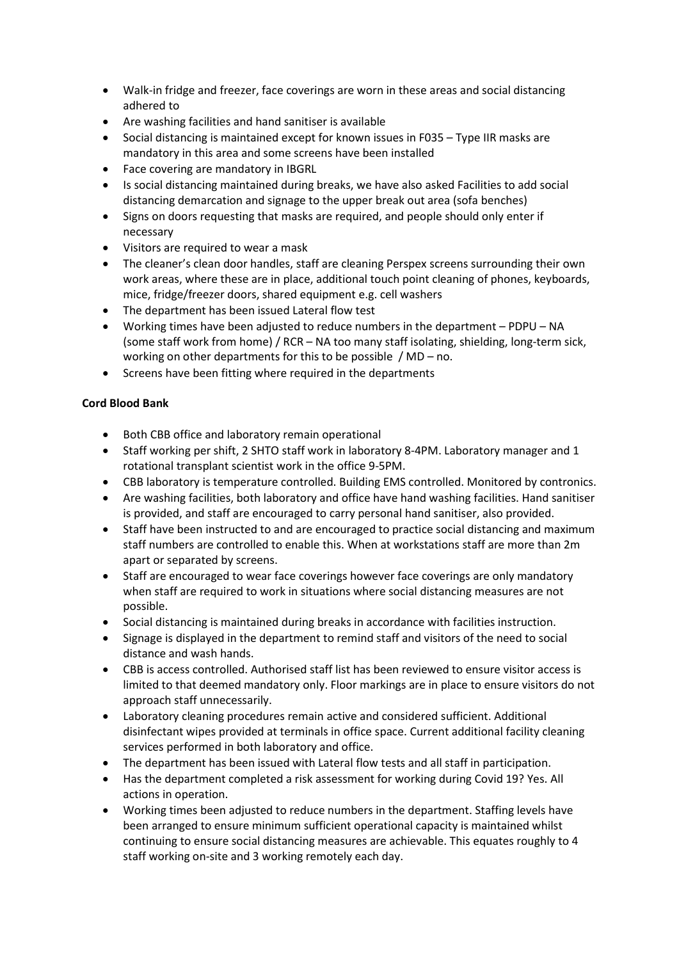- Walk-in fridge and freezer, face coverings are worn in these areas and social distancing adhered to
- Are washing facilities and hand sanitiser is available
- Social distancing is maintained except for known issues in F035 Type IIR masks are mandatory in this area and some screens have been installed
- Face covering are mandatory in IBGRL
- Is social distancing maintained during breaks, we have also asked Facilities to add social distancing demarcation and signage to the upper break out area (sofa benches)
- Signs on doors requesting that masks are required, and people should only enter if necessary
- Visitors are required to wear a mask
- The cleaner's clean door handles, staff are cleaning Perspex screens surrounding their own work areas, where these are in place, additional touch point cleaning of phones, keyboards, mice, fridge/freezer doors, shared equipment e.g. cell washers
- The department has been issued Lateral flow test
- Working times have been adjusted to reduce numbers in the department PDPU NA (some staff work from home) / RCR – NA too many staff isolating, shielding, long-term sick, working on other departments for this to be possible / MD – no.
- Screens have been fitting where required in the departments

# Cord Blood Bank

- Both CBB office and laboratory remain operational
- Staff working per shift, 2 SHTO staff work in laboratory 8-4PM. Laboratory manager and 1 rotational transplant scientist work in the office 9-5PM.
- CBB laboratory is temperature controlled. Building EMS controlled. Monitored by contronics.
- Are washing facilities, both laboratory and office have hand washing facilities. Hand sanitiser is provided, and staff are encouraged to carry personal hand sanitiser, also provided.
- Staff have been instructed to and are encouraged to practice social distancing and maximum staff numbers are controlled to enable this. When at workstations staff are more than 2m apart or separated by screens.
- Staff are encouraged to wear face coverings however face coverings are only mandatory when staff are required to work in situations where social distancing measures are not possible.
- Social distancing is maintained during breaks in accordance with facilities instruction.
- Signage is displayed in the department to remind staff and visitors of the need to social distance and wash hands.
- CBB is access controlled. Authorised staff list has been reviewed to ensure visitor access is limited to that deemed mandatory only. Floor markings are in place to ensure visitors do not approach staff unnecessarily.
- Laboratory cleaning procedures remain active and considered sufficient. Additional disinfectant wipes provided at terminals in office space. Current additional facility cleaning services performed in both laboratory and office.
- The department has been issued with Lateral flow tests and all staff in participation.
- Has the department completed a risk assessment for working during Covid 19? Yes. All actions in operation.
- Working times been adjusted to reduce numbers in the department. Staffing levels have been arranged to ensure minimum sufficient operational capacity is maintained whilst continuing to ensure social distancing measures are achievable. This equates roughly to 4 staff working on-site and 3 working remotely each day.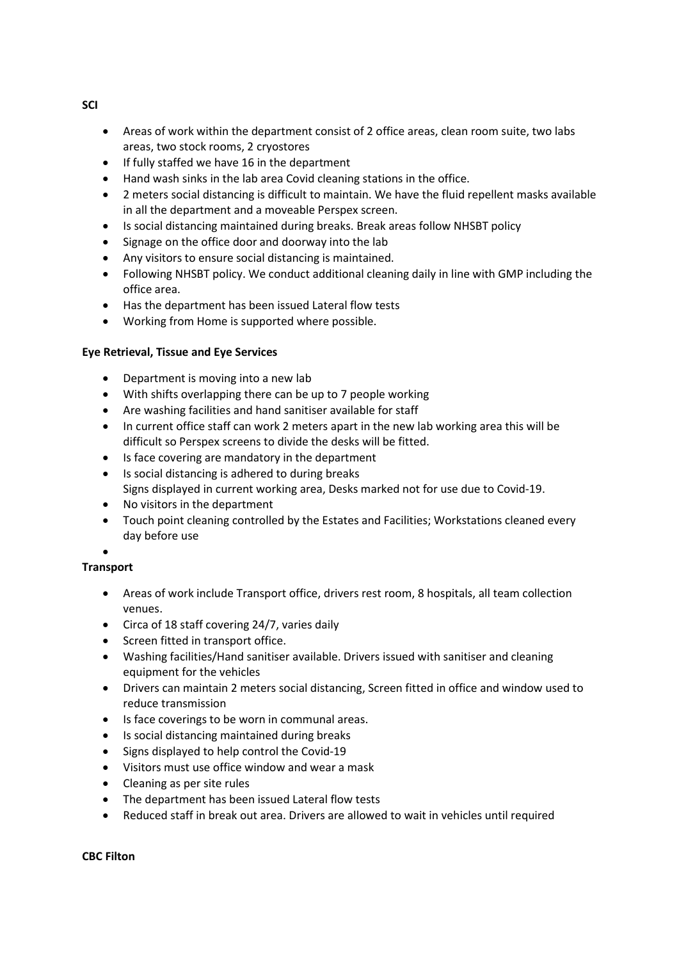- Areas of work within the department consist of 2 office areas, clean room suite, two labs areas, two stock rooms, 2 cryostores
- If fully staffed we have 16 in the department
- Hand wash sinks in the lab area Covid cleaning stations in the office.
- 2 meters social distancing is difficult to maintain. We have the fluid repellent masks available in all the department and a moveable Perspex screen.
- Is social distancing maintained during breaks. Break areas follow NHSBT policy
- Signage on the office door and doorway into the lab
- Any visitors to ensure social distancing is maintained.
- Following NHSBT policy. We conduct additional cleaning daily in line with GMP including the office area.
- Has the department has been issued Lateral flow tests
- Working from Home is supported where possible.

## Eye Retrieval, Tissue and Eye Services

- Department is moving into a new lab
- With shifts overlapping there can be up to 7 people working
- Are washing facilities and hand sanitiser available for staff
- In current office staff can work 2 meters apart in the new lab working area this will be difficult so Perspex screens to divide the desks will be fitted.
- Is face covering are mandatory in the department
- Is social distancing is adhered to during breaks Signs displayed in current working area, Desks marked not for use due to Covid-19.
- No visitors in the department
- Touch point cleaning controlled by the Estates and Facilities; Workstations cleaned every day before use
- $\bullet$

## **Transport**

- Areas of work include Transport office, drivers rest room, 8 hospitals, all team collection venues.
- Circa of 18 staff covering 24/7, varies daily
- Screen fitted in transport office.
- Washing facilities/Hand sanitiser available. Drivers issued with sanitiser and cleaning equipment for the vehicles
- Drivers can maintain 2 meters social distancing, Screen fitted in office and window used to reduce transmission
- Is face coverings to be worn in communal areas.
- Is social distancing maintained during breaks
- Signs displayed to help control the Covid-19
- Visitors must use office window and wear a mask
- Cleaning as per site rules
- The department has been issued Lateral flow tests
- Reduced staff in break out area. Drivers are allowed to wait in vehicles until required

### CBC Filton

SCI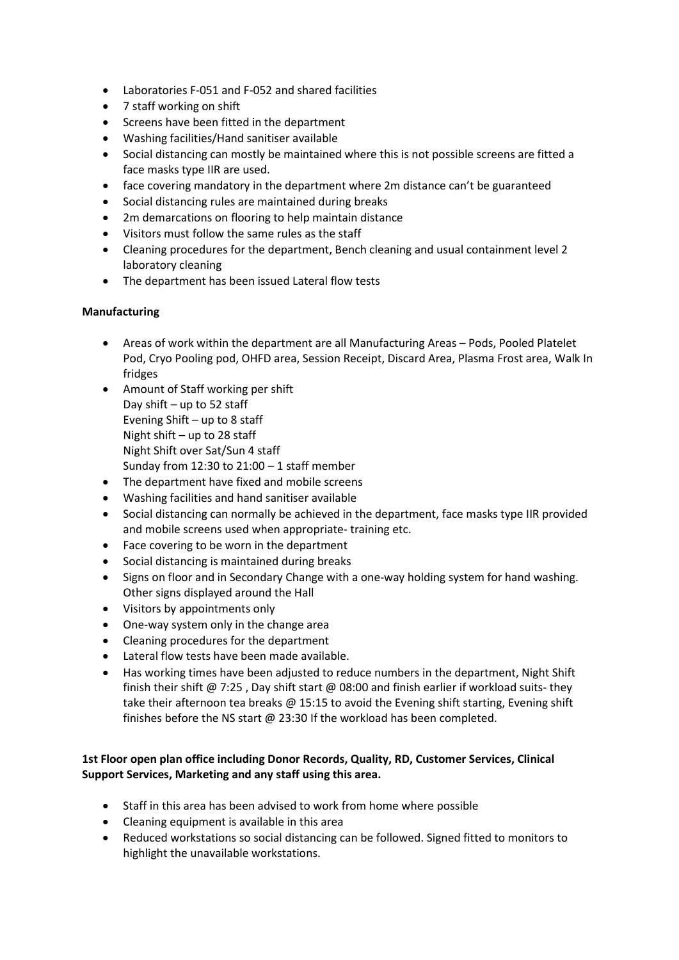- Laboratories F-051 and F-052 and shared facilities
- 7 staff working on shift
- Screens have been fitted in the department
- Washing facilities/Hand sanitiser available
- Social distancing can mostly be maintained where this is not possible screens are fitted a face masks type IIR are used.
- face covering mandatory in the department where 2m distance can't be guaranteed
- Social distancing rules are maintained during breaks
- 2m demarcations on flooring to help maintain distance
- Visitors must follow the same rules as the staff
- Cleaning procedures for the department, Bench cleaning and usual containment level 2 laboratory cleaning
- The department has been issued Lateral flow tests

## Manufacturing

- Areas of work within the department are all Manufacturing Areas Pods, Pooled Platelet Pod, Cryo Pooling pod, OHFD area, Session Receipt, Discard Area, Plasma Frost area, Walk In fridges
- Amount of Staff working per shift Day shift – up to 52 staff Evening Shift – up to 8 staff Night shift – up to 28 staff Night Shift over Sat/Sun 4 staff Sunday from  $12:30$  to  $21:00 - 1$  staff member
- The department have fixed and mobile screens
- Washing facilities and hand sanitiser available
- Social distancing can normally be achieved in the department, face masks type IIR provided and mobile screens used when appropriate- training etc.
- Face covering to be worn in the department
- Social distancing is maintained during breaks
- Signs on floor and in Secondary Change with a one-way holding system for hand washing. Other signs displayed around the Hall
- Visitors by appointments only
- One-way system only in the change area
- Cleaning procedures for the department
- Lateral flow tests have been made available.
- Has working times have been adjusted to reduce numbers in the department, Night Shift finish their shift @ 7:25 , Day shift start @ 08:00 and finish earlier if workload suits- they take their afternoon tea breaks @ 15:15 to avoid the Evening shift starting, Evening shift finishes before the NS start @ 23:30 If the workload has been completed.

## 1st Floor open plan office including Donor Records, Quality, RD, Customer Services, Clinical Support Services, Marketing and any staff using this area.

- Staff in this area has been advised to work from home where possible
- Cleaning equipment is available in this area
- Reduced workstations so social distancing can be followed. Signed fitted to monitors to highlight the unavailable workstations.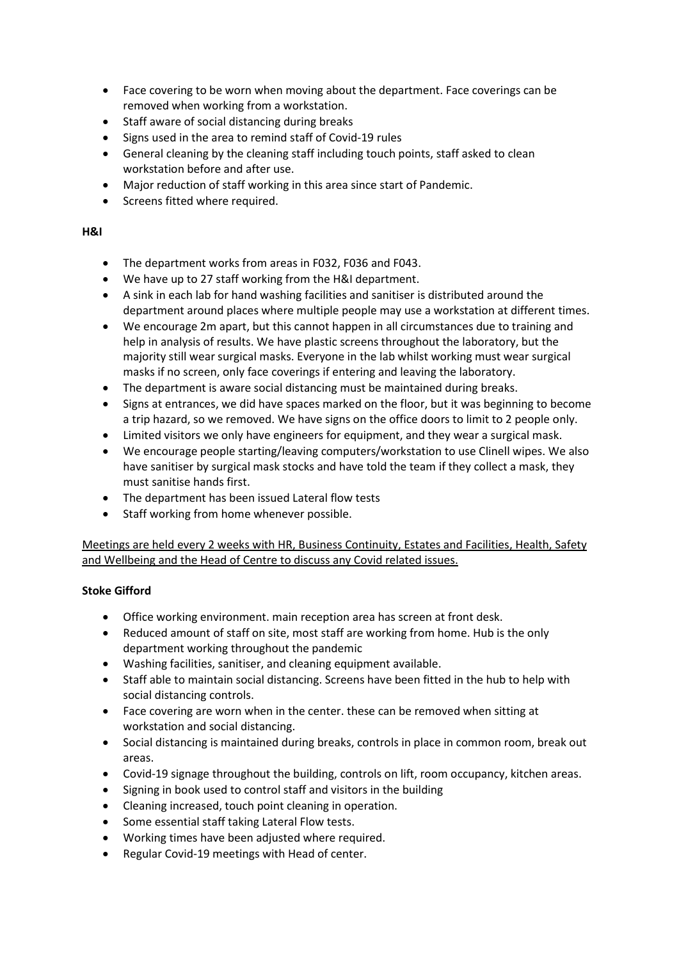- Face covering to be worn when moving about the department. Face coverings can be removed when working from a workstation.
- Staff aware of social distancing during breaks
- Signs used in the area to remind staff of Covid-19 rules
- General cleaning by the cleaning staff including touch points, staff asked to clean workstation before and after use.
- Major reduction of staff working in this area since start of Pandemic.
- Screens fitted where required.

## H&I

- The department works from areas in F032, F036 and F043.
- We have up to 27 staff working from the H&I department.
- A sink in each lab for hand washing facilities and sanitiser is distributed around the department around places where multiple people may use a workstation at different times.
- We encourage 2m apart, but this cannot happen in all circumstances due to training and help in analysis of results. We have plastic screens throughout the laboratory, but the majority still wear surgical masks. Everyone in the lab whilst working must wear surgical masks if no screen, only face coverings if entering and leaving the laboratory.
- The department is aware social distancing must be maintained during breaks.
- Signs at entrances, we did have spaces marked on the floor, but it was beginning to become a trip hazard, so we removed. We have signs on the office doors to limit to 2 people only.
- Limited visitors we only have engineers for equipment, and they wear a surgical mask.
- We encourage people starting/leaving computers/workstation to use Clinell wipes. We also have sanitiser by surgical mask stocks and have told the team if they collect a mask, they must sanitise hands first.
- The department has been issued Lateral flow tests
- Staff working from home whenever possible.

Meetings are held every 2 weeks with HR, Business Continuity, Estates and Facilities, Health, Safety and Wellbeing and the Head of Centre to discuss any Covid related issues.

## Stoke Gifford

- Office working environment. main reception area has screen at front desk.
- Reduced amount of staff on site, most staff are working from home. Hub is the only department working throughout the pandemic
- Washing facilities, sanitiser, and cleaning equipment available.
- Staff able to maintain social distancing. Screens have been fitted in the hub to help with social distancing controls.
- Face covering are worn when in the center. these can be removed when sitting at workstation and social distancing.
- Social distancing is maintained during breaks, controls in place in common room, break out areas.
- Covid-19 signage throughout the building, controls on lift, room occupancy, kitchen areas.
- Signing in book used to control staff and visitors in the building
- Cleaning increased, touch point cleaning in operation.
- Some essential staff taking Lateral Flow tests.
- Working times have been adjusted where required.
- Regular Covid-19 meetings with Head of center.